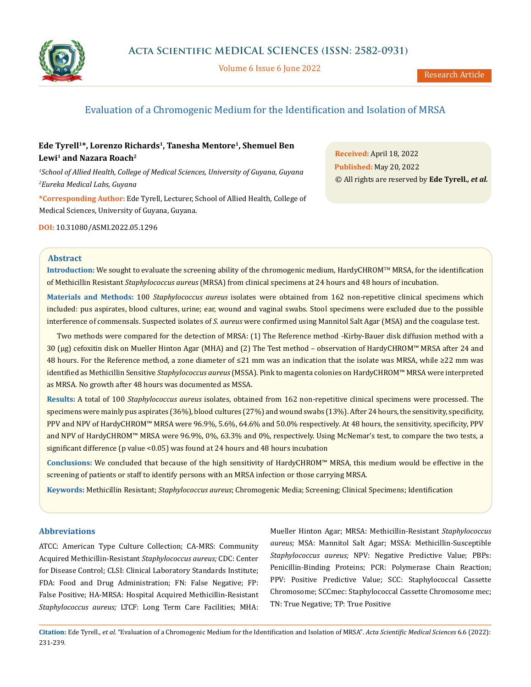

Volume 6 Issue 6 June 2022

# Evaluation of a Chromogenic Medium for the Identification and Isolation of MRSA

# Ede Tyrell<sup>1\*</sup>, Lorenzo Richards<sup>1</sup>, Tanesha Mentore<sup>1</sup>, Shemuel Ben Lewi<sup>1</sup> and Nazara Roach<sup>2</sup>

*1 School of Allied Health, College of Medical Sciences, University of Guyana, Guyana 2 Eureka Medical Labs, Guyana*

**\*Corresponding Author:** Ede Tyrell, Lecturer, School of Allied Health, College of Medical Sciences, University of Guyana, Guyana.

**DOI:** [10.31080/ASMI.2022.05.1296](http://actascientific.com/ASMI/pdf/ASMI-05-1296.pdf)

**Received:** April 18, 2022 **Published:** May 20, 2022 © All rights are reserved by **Ede Tyrell***., et al.*

## **Abstract**

**Introduction:** We sought to evaluate the screening ability of the chromogenic medium, HardyCHROM™ MRSA, for the identification of Methicillin Resistant *Staphylococcus aureus* (MRSA) from clinical specimens at 24 hours and 48 hours of incubation.

**Materials and Methods:** 100 *Staphylococcus aureus* isolates were obtained from 162 non-repetitive clinical specimens which included: pus aspirates, blood cultures, urine; ear, wound and vaginal swabs. Stool specimens were excluded due to the possible interference of commensals. Suspected isolates of *S. aureus* were confirmed using Mannitol Salt Agar (MSA) and the coagulase test.

Two methods were compared for the detection of MRSA: (1) The Reference method -Kirby-Bauer disk diffusion method with a 30 (µg) cefoxitin disk on Mueller Hinton Agar (MHA) and (2) The Test method – observation of HardyCHROM™ MRSA after 24 and 48 hours. For the Reference method, a zone diameter of ≤21 mm was an indication that the isolate was MRSA, while ≥22 mm was identified as Methicillin Sensitive *Staphylococcus aureus* (MSSA). Pink to magenta colonies on HardyCHROM™ MRSA were interpreted as MRSA. No growth after 48 hours was documented as MSSA.

**Results:** A total of 100 *Staphylococcus aureus* isolates, obtained from 162 non-repetitive clinical specimens were processed. The specimens were mainly pus aspirates (36%), blood cultures (27%) and wound swabs (13%). After 24 hours, the sensitivity, specificity, PPV and NPV of HardyCHROM™ MRSA were 96.9%, 5.6%, 64.6% and 50.0% respectively. At 48 hours, the sensitivity, specificity, PPV and NPV of HardyCHROM™ MRSA were 96.9%, 0%, 63.3% and 0%, respectively. Using McNemar's test, to compare the two tests, a significant difference (p value <0.05) was found at 24 hours and 48 hours incubation

**Conclusions:** We concluded that because of the high sensitivity of HardyCHROM™ MRSA, this medium would be effective in the screening of patients or staff to identify persons with an MRSA infection or those carrying MRSA.

**Keywords:** Methicillin Resistant; *Staphylococcus aureus*; Chromogenic Media; Screening; Clinical Specimens; Identification

# **Abbreviations**

ATCC: American Type Culture Collection; CA-MRS: Community Acquired Methicillin-Resistant *Staphylococcus aureus;* CDC: Center for Disease Control; CLSI: Clinical Laboratory Standards Institute; FDA: Food and Drug Administration; FN: False Negative; FP: False Positive; HA-MRSA: Hospital Acquired Methicillin-Resistant *Staphylococcus aureus;* LTCF: Long Term Care Facilities; MHA:

Mueller Hinton Agar; MRSA: Methicillin-Resistant *Staphylococcus aureus;* MSA: Mannitol Salt Agar; MSSA: Methicillin-Susceptible *Staphylococcus aureus;* NPV: Negative Predictive Value; PBPs: Penicillin-Binding Proteins; PCR: Polymerase Chain Reaction; PPV: Positive Predictive Value; SCC: Staphylococcal Cassette Chromosome; SCCmec: Staphylococcal Cassette Chromosome mec; TN: True Negative; TP: True Positive

**Citation:** Ede Tyrell*., et al.* "Evaluation of a Chromogenic Medium for the Identification and Isolation of MRSA". *Acta Scientific Medical Sciences* 6.6 (2022): 231-239.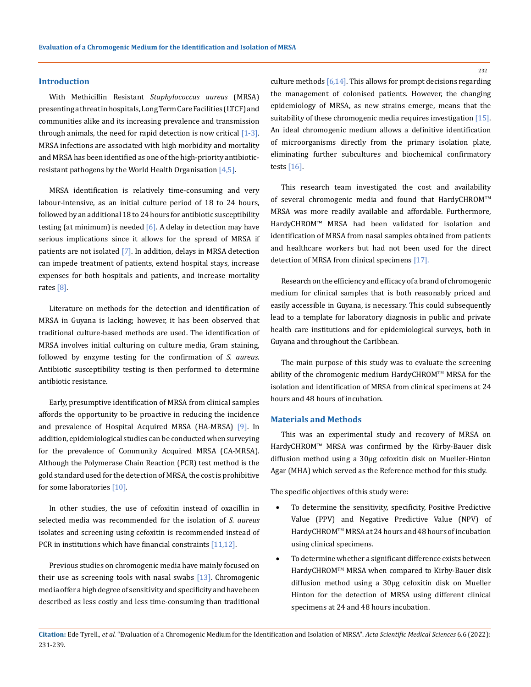#### **Introduction**

With Methicillin Resistant *Staphylococcus aureus* (MRSA) presenting a threat in hospitals, Long Term Care Facilities (LTCF) and communities alike and its increasing prevalence and transmission through animals, the need for rapid detection is now critical  $[1-3]$ . MRSA infections are associated with high morbidity and mortality and MRSA has been identified as one of the high-priority antibioticresistant pathogens by the World Health Organisation  $[4,5]$ .

MRSA identification is relatively time-consuming and very labour-intensive, as an initial culture period of 18 to 24 hours, followed by an additional 18 to 24 hours for antibiotic susceptibility testing (at minimum) is needed  $[6]$ . A delay in detection may have serious implications since it allows for the spread of MRSA if patients are not isolated  $[7]$ . In addition, delays in MRSA detection can impede treatment of patients, extend hospital stays, increase expenses for both hospitals and patients, and increase mortality rates [8].

Literature on methods for the detection and identification of MRSA in Guyana is lacking; however, it has been observed that traditional culture-based methods are used. The identification of MRSA involves initial culturing on culture media, Gram staining, followed by enzyme testing for the confirmation of *S. aureus*. Antibiotic susceptibility testing is then performed to determine antibiotic resistance.

Early, presumptive identification of MRSA from clinical samples affords the opportunity to be proactive in reducing the incidence and prevalence of Hospital Acquired MRSA (HA-MRSA) [9]. In addition, epidemiological studies can be conducted when surveying for the prevalence of Community Acquired MRSA (CA-MRSA). Although the Polymerase Chain Reaction (PCR) test method is the gold standard used for the detection of MRSA, the cost is prohibitive for some laboratories [10].

In other studies, the use of cefoxitin instead of oxacillin in selected media was recommended for the isolation of *S. aureus* isolates and screening using cefoxitin is recommended instead of PCR in institutions which have financial constraints [11,12].

Previous studies on chromogenic media have mainly focused on their use as screening tools with nasal swabs  $[13]$ . Chromogenic media offer a high degree of sensitivity and specificity and have been described as less costly and less time-consuming than traditional

culture methods  $[6,14]$ . This allows for prompt decisions regarding the management of colonised patients. However, the changing epidemiology of MRSA, as new strains emerge, means that the suitability of these chromogenic media requires investigation [15]. An ideal chromogenic medium allows a definitive identification of microorganisms directly from the primary isolation plate, eliminating further subcultures and biochemical confirmatory tests [16].

This research team investigated the cost and availability of several chromogenic media and found that HardyCHROM™ MRSA was more readily available and affordable. Furthermore, HardyCHROM™ MRSA had been validated for isolation and identification of MRSA from nasal samples obtained from patients and healthcare workers but had not been used for the direct detection of MRSA from clinical specimens [17].

Research on the efficiency and efficacy of a brand of chromogenic medium for clinical samples that is both reasonably priced and easily accessible in Guyana, is necessary. This could subsequently lead to a template for laboratory diagnosis in public and private health care institutions and for epidemiological surveys, both in Guyana and throughout the Caribbean.

The main purpose of this study was to evaluate the screening ability of the chromogenic medium HardyCHROM™ MRSA for the isolation and identification of MRSA from clinical specimens at 24 hours and 48 hours of incubation.

# **Materials and Methods**

This was an experimental study and recovery of MRSA on HardyCHROM™ MRSA was confirmed by the Kirby-Bauer disk diffusion method using a 30µg cefoxitin disk on Mueller-Hinton Agar (MHA) which served as the Reference method for this study.

The specific objectives of this study were:

- To determine the sensitivity, specificity, Positive Predictive Value (PPV) and Negative Predictive Value (NPV) of HardyCHROMTM MRSA at 24 hours and 48 hours of incubation using clinical specimens.
- To determine whether a significant difference exists between HardyCHROMTM MRSA when compared to Kirby-Bauer disk diffusion method using a 30µg cefoxitin disk on Mueller Hinton for the detection of MRSA using different clinical specimens at 24 and 48 hours incubation.

**Citation:** Ede Tyrell*., et al.* "Evaluation of a Chromogenic Medium for the Identification and Isolation of MRSA". *Acta Scientific Medical Sciences* 6.6 (2022): 231-239.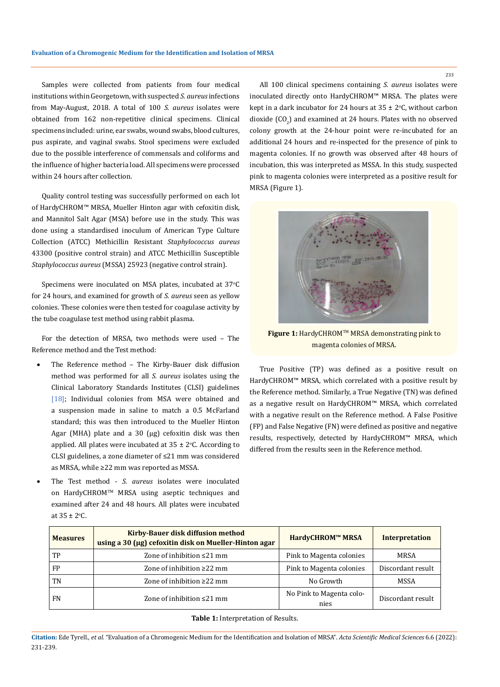Samples were collected from patients from four medical institutions within Georgetown, with suspected *S. aureus* infections from May-August, 2018. A total of 100 *S. aureus* isolates were obtained from 162 non-repetitive clinical specimens. Clinical specimens included: urine, ear swabs, wound swabs, blood cultures, pus aspirate, and vaginal swabs. Stool specimens were excluded due to the possible interference of commensals and coliforms and the influence of higher bacteria load. All specimens were processed within 24 hours after collection.

Quality control testing was successfully performed on each lot of HardyCHROM™ MRSA, Mueller Hinton agar with cefoxitin disk, and Mannitol Salt Agar (MSA) before use in the study. This was done using a standardised inoculum of American Type Culture Collection (ATCC) Methicillin Resistant *Staphylococcus aureus* 43300 (positive control strain) and ATCC Methicillin Susceptible *Staphylococcus aureus* (MSSA) 25923 (negative control strain).

Specimens were inoculated on MSA plates, incubated at 37°C for 24 hours, and examined for growth of *S. aureus* seen as yellow colonies. These colonies were then tested for coagulase activity by the tube coagulase test method using rabbit plasma.

For the detection of MRSA, two methods were used – The Reference method and the Test method:

- The Reference method The Kirby-Bauer disk diffusion method was performed for all *S. aureus* isolates using the Clinical Laboratory Standards Institutes (CLSI) guidelines [18]; Individual colonies from MSA were obtained and a suspension made in saline to match a 0.5 McFarland standard; this was then introduced to the Mueller Hinton Agar (MHA) plate and a 30 (µg) cefoxitin disk was then applied. All plates were incubated at 35  $\pm$  2°C. According to CLSI guidelines, a zone diameter of ≤21 mm was considered as MRSA, while ≥22 mm was reported as MSSA.
- • The Test method *S. aureus* isolates were inoculated on HardyCHROMTM MRSA using aseptic techniques and examined after 24 and 48 hours. All plates were incubated at  $35 \pm 2$  °C.

All 100 clinical specimens containing *S. aureus* isolates were inoculated directly onto HardyCHROM™ MRSA. The plates were kept in a dark incubator for 24 hours at 35  $\pm$  2°C, without carbon dioxide  $({\rm CO}_{2})$  and examined at 24 hours. Plates with no observed colony growth at the 24-hour point were re-incubated for an additional 24 hours and re-inspected for the presence of pink to magenta colonies. If no growth was observed after 48 hours of incubation, this was interpreted as MSSA. In this study, suspected pink to magenta colonies were interpreted as a positive result for MRSA (Figure 1).



**Figure 1:** HardyCHROMTM MRSA demonstrating pink to magenta colonies of MRSA.

True Positive (TP) was defined as a positive result on HardyCHROM™ MRSA, which correlated with a positive result by the Reference method. Similarly, a True Negative (TN) was defined as a negative result on HardyCHROM™ MRSA, which correlated with a negative result on the Reference method. A False Positive (FP) and False Negative (FN) were defined as positive and negative results, respectively, detected by HardyCHROM™ MRSA, which differed from the results seen in the Reference method.

| <b>Measures</b> | Kirby-Bauer disk diffusion method<br>using a 30 (µg) cefoxitin disk on Mueller-Hinton agar | HardyCHROM™ MRSA                 | <b>Interpretation</b> |
|-----------------|--------------------------------------------------------------------------------------------|----------------------------------|-----------------------|
| TP              | Zone of inhibition $\leq$ 21 mm                                                            | Pink to Magenta colonies         | MRSA                  |
| FP              | Zone of inhibition $\geq$ 22 mm                                                            | Pink to Magenta colonies         | Discordant result     |
| TN              | Zone of inhibition $\geq$ 22 mm                                                            | No Growth                        | MSSA                  |
| <b>FN</b>       | Zone of inhibition $\leq$ 21 mm                                                            | No Pink to Magenta colo-<br>nies | Discordant result     |

**Table 1:** Interpretation of Results.

**Citation:** Ede Tyrell*., et al.* "Evaluation of a Chromogenic Medium for the Identification and Isolation of MRSA". *Acta Scientific Medical Sciences* 6.6 (2022): 231-239.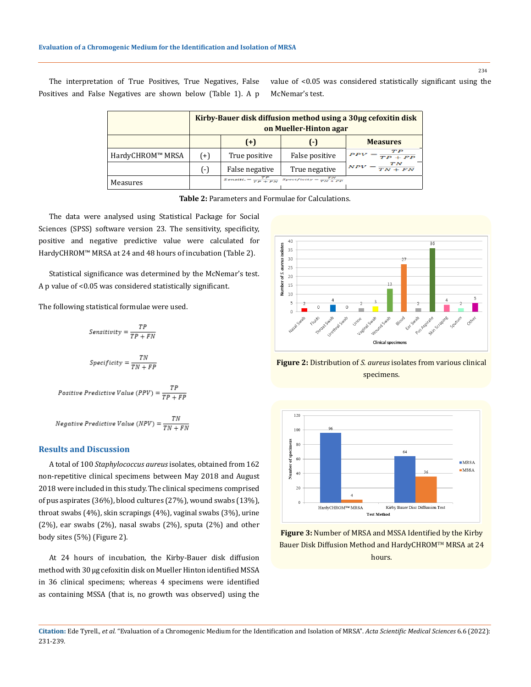The interpretation of True Positives, True Negatives, False Positives and False Negatives are shown below (Table 1). A p value of <0.05 was considered statistically significant using the McNemar's test.

|                  | Kirby-Bauer disk diffusion method using a 30µg cefoxitin disk<br>on Mueller-Hinton agar |                                 |                                    |                            |  |
|------------------|-----------------------------------------------------------------------------------------|---------------------------------|------------------------------------|----------------------------|--|
|                  |                                                                                         | $(+)$                           | $(-)$                              | <b>Measures</b>            |  |
| HardyCHROM™ MRSA | (+)                                                                                     | True positive                   | False positive                     | $PPV = \frac{TP}{TP + FP}$ |  |
|                  | $(-)$                                                                                   | False negative                  | True negative                      | $NPV = \frac{TN}{TN + FN}$ |  |
| Measures         |                                                                                         | $Sensitt. = \frac{TP}{TP + FN}$ | $Spectfictty = \frac{TN}{TN + FP}$ |                            |  |



The data were analysed using Statistical Package for Social Sciences (SPSS) software version 23. The sensitivity, specificity, positive and negative predictive value were calculated for HardyCHROM™ MRSA at 24 and 48 hours of incubation (Table 2).

Statistical significance was determined by the McNemar's test. A p value of <0.05 was considered statistically significant.

The following statistical formulae were used.

$$
Sensitivity = \frac{TP}{TP + FN}
$$
  

$$
Specificity = \frac{TN}{TN + FP}
$$

$$
Positive \; Predictive \; Value \; (PPV) = \frac{TP}{TP + FP}
$$

$$
Negative\ Predictive\ Value\ (NPV) = \frac{TN}{TN + FN}
$$

# **Results and Discussion**

A total of 100 *Staphylococcus aureus* isolates, obtained from 162 non-repetitive clinical specimens between May 2018 and August 2018 were included in this study. The clinical specimens comprised of pus aspirates (36%), blood cultures (27%), wound swabs (13%), throat swabs (4%), skin scrapings (4%), vaginal swabs (3%), urine (2%), ear swabs (2%), nasal swabs (2%), sputa (2%) and other body sites (5%) (Figure 2).

At 24 hours of incubation, the Kirby-Bauer disk diffusion method with 30 μg cefoxitin disk on Mueller Hinton identified MSSA in 36 clinical specimens; whereas 4 specimens were identified as containing MSSA (that is, no growth was observed) using the



**Figure 2:** Distribution of *S. aureus* isolates from various clinical specimens.



**Figure 3:** Number of MRSA and MSSA Identified by the Kirby Bauer Disk Diffusion Method and HardyCHROM™ MRSA at 24 hours.

**Citation:** Ede Tyrell*., et al.* "Evaluation of a Chromogenic Medium for the Identification and Isolation of MRSA". *Acta Scientific Medical Sciences* 6.6 (2022): 231-239.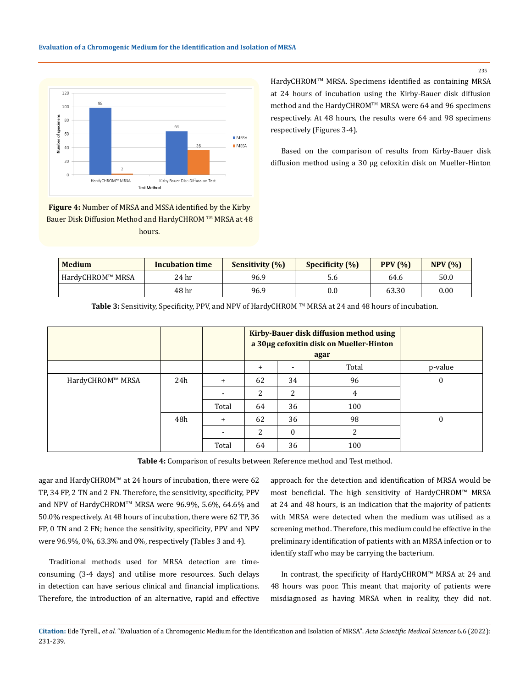

HardyCHROMTM MRSA. Specimens identified as containing MRSA at 24 hours of incubation using the Kirby-Bauer disk diffusion method and the HardyCHROM™ MRSA were 64 and 96 specimens respectively. At 48 hours, the results were 64 and 98 specimens respectively (Figures 3-4).

Based on the comparison of results from Kirby-Bauer disk diffusion method using a 30 µg cefoxitin disk on Mueller-Hinton

**Figure 4:** Number of MRSA and MSSA identified by the Kirby Bauer Disk Diffusion Method and HardyCHROM ™ MRSA at 48 hours.

| <b>Medium</b>    | <b>Incubation time</b> | Sensitivity (%) | Specificity (%) | PPV(% | NPV(%) |
|------------------|------------------------|-----------------|-----------------|-------|--------|
| HardyCHROM™ MRSA | 24 hr                  | 96.9            | 5.6             | 64.6  | 50.0   |
|                  | 48 hr                  | 96.9            | 0.0             | 63.30 | 0.00   |

|                  |     |           | Kirby-Bauer disk diffusion method using<br>a 30µg cefoxitin disk on Mueller-Hinton<br>agar |          |                |          |
|------------------|-----|-----------|--------------------------------------------------------------------------------------------|----------|----------------|----------|
|                  |     |           | $\ddot{}$                                                                                  |          | Total          | p-value  |
| HardyCHROM™ MRSA | 24h | +         | 62                                                                                         | 34       | 96             | 0        |
|                  |     |           | 2                                                                                          | 2        | 4              |          |
|                  |     | Total     | 64                                                                                         | 36       | 100            |          |
|                  | 48h | $\ddot{}$ | 62                                                                                         | 36       | 98             | $\theta$ |
|                  |     |           | 2                                                                                          | $\theta$ | $\overline{c}$ |          |
|                  |     | Total     | 64                                                                                         | 36       | 100            |          |

Table 3: Sensitivity, Specificity, PPV, and NPV of HardyCHROM <sup>™</sup> MRSA at 24 and 48 hours of incubation.

**Table 4:** Comparison of results between Reference method and Test method.

agar and HardyCHROM™ at 24 hours of incubation, there were 62 TP, 34 FP, 2 TN and 2 FN. Therefore, the sensitivity, specificity, PPV and NPV of HardyCHROMTM MRSA were 96.9%, 5.6%, 64.6% and 50.0% respectively. At 48 hours of incubation, there were 62 TP, 36 FP, 0 TN and 2 FN; hence the sensitivity, specificity, PPV and NPV were 96.9%, 0%, 63.3% and 0%, respectively (Tables 3 and 4).

Traditional methods used for MRSA detection are timeconsuming (3-4 days) and utilise more resources. Such delays in detection can have serious clinical and financial implications. Therefore, the introduction of an alternative, rapid and effective approach for the detection and identification of MRSA would be most beneficial. The high sensitivity of HardyCHROM™ MRSA at 24 and 48 hours, is an indication that the majority of patients with MRSA were detected when the medium was utilised as a screening method. Therefore, this medium could be effective in the preliminary identification of patients with an MRSA infection or to identify staff who may be carrying the bacterium.

In contrast, the specificity of HardyCHROM™ MRSA at 24 and 48 hours was poor. This meant that majority of patients were misdiagnosed as having MRSA when in reality, they did not.

**Citation:** Ede Tyrell*., et al.* "Evaluation of a Chromogenic Medium for the Identification and Isolation of MRSA". *Acta Scientific Medical Sciences* 6.6 (2022): 231-239.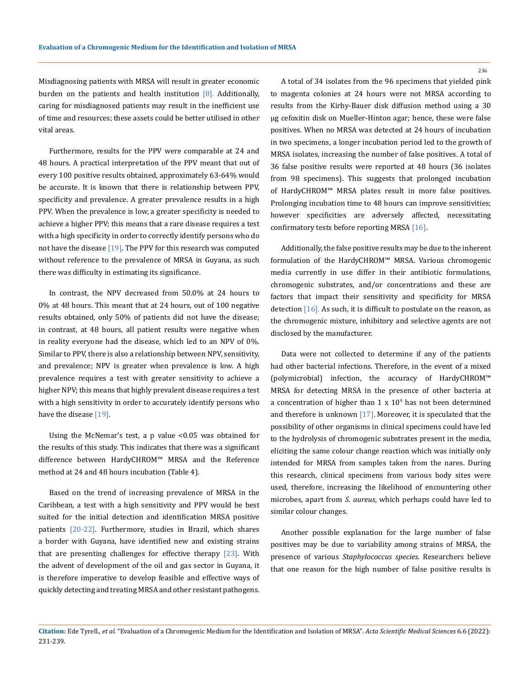Misdiagnosing patients with MRSA will result in greater economic burden on the patients and health institution  $[8]$ . Additionally, caring for misdiagnosed patients may result in the inefficient use of time and resources; these assets could be better utilised in other vital areas.

Furthermore, results for the PPV were comparable at 24 and 48 hours. A practical interpretation of the PPV meant that out of every 100 positive results obtained, approximately 63-64% would be accurate. It is known that there is relationship between PPV, specificity and prevalence. A greater prevalence results in a high PPV. When the prevalence is low, a greater specificity is needed to achieve a higher PPV; this means that a rare disease requires a test with a high specificity in order to correctly identify persons who do not have the disease [19]. The PPV for this research was computed without reference to the prevalence of MRSA in Guyana, as such there was difficulty in estimating its significance.

In contrast, the NPV decreased from 50.0% at 24 hours to 0% at 48 hours. This meant that at 24 hours, out of 100 negative results obtained, only 50% of patients did not have the disease; in contrast, at 48 hours, all patient results were negative when in reality everyone had the disease, which led to an NPV of 0%. Similar to PPV, there is also a relationship between NPV, sensitivity, and prevalence; NPV is greater when prevalence is low. A high prevalence requires a test with greater sensitivity to achieve a higher NPV; this means that highly prevalent disease requires a test with a high sensitivity in order to accurately identify persons who have the disease [19].

Using the McNemar's test, a p value <0.05 was obtained for the results of this study. This indicates that there was a significant difference between HardyCHROM™ MRSA and the Reference method at 24 and 48 hours incubation (Table 4).

Based on the trend of increasing prevalence of MRSA in the Caribbean, a test with a high sensitivity and PPV would be best suited for the initial detection and identification MRSA positive patients [20-22]. Furthermore, studies in Brazil, which shares a border with Guyana, have identified new and existing strains that are presenting challenges for effective therapy  $[23]$ . With the advent of development of the oil and gas sector in Guyana, it is therefore imperative to develop feasible and effective ways of quickly detecting and treating MRSA and other resistant pathogens.

A total of 34 isolates from the 96 specimens that yielded pink to magenta colonies at 24 hours were not MRSA according to results from the Kirby-Bauer disk diffusion method using a 30 µg cefoxitin disk on Mueller-Hinton agar; hence, these were false positives. When no MRSA was detected at 24 hours of incubation in two specimens, a longer incubation period led to the growth of MRSA isolates, increasing the number of false positives. A total of 36 false positive results were reported at 48 hours (36 isolates from 98 specimens). This suggests that prolonged incubation of HardyCHROM™ MRSA plates result in more false positives. Prolonging incubation time to 48 hours can improve sensitivities; however specificities are adversely affected, necessitating confirmatory tests before reporting MRSA [16].

Additionally, the false positive results may be due to the inherent formulation of the HardyCHROM™ MRSA. Various chromogenic media currently in use differ in their antibiotic formulations, chromogenic substrates, and/or concentrations and these are factors that impact their sensitivity and specificity for MRSA detection  $[16]$ . As such, it is difficult to postulate on the reason, as the chromogenic mixture, inhibitory and selective agents are not disclosed by the manufacturer.

Data were not collected to determine if any of the patients had other bacterial infections. Therefore, in the event of a mixed (polymicrobial) infection, the accuracy of HardyCHROM™ MRSA for detecting MRSA in the presence of other bacteria at a concentration of higher than  $1 \times 10^9$  has not been determined and therefore is unknown  $[17]$ . Moreover, it is speculated that the possibility of other organisms in clinical specimens could have led to the hydrolysis of chromogenic substrates present in the media, eliciting the same colour change reaction which was initially only intended for MRSA from samples taken from the nares. During this research, clinical specimens from various body sites were used, therefore, increasing the likelihood of encountering other microbes, apart from *S. aureus*, which perhaps could have led to similar colour changes.

Another possible explanation for the large number of false positives may be due to variability among strains of MRSA, the presence of various *Staphylococcus species*. Researchers believe that one reason for the high number of false positive results is

**Citation:** Ede Tyrell*., et al.* "Evaluation of a Chromogenic Medium for the Identification and Isolation of MRSA". *Acta Scientific Medical Sciences* 6.6 (2022): 231-239.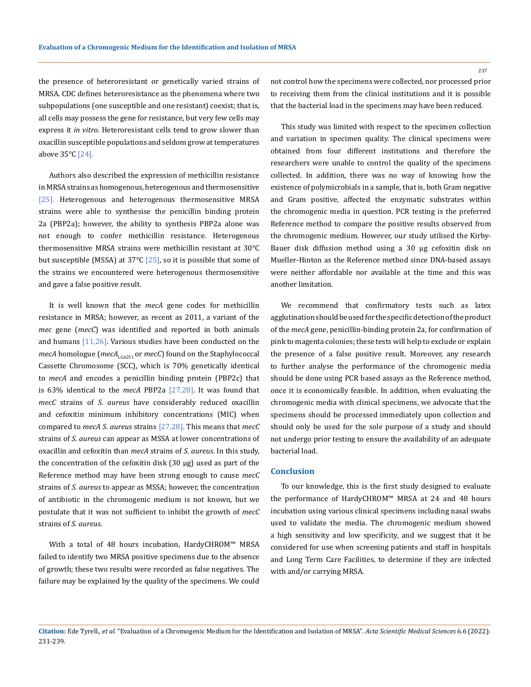the presence of heteroresistant or genetically varied strains of MRSA. CDC defines heteroresistance as the phenomena where two subpopulations (one susceptible and one resistant) coexist; that is, all cells may possess the gene for resistance, but very few cells may express it *in vitro*. Heteroresistant cells tend to grow slower than oxacillin susceptible populations and seldom grow at temperatures above 35°C [24].

Authors also described the expression of methicillin resistance in MRSA strains as homogenous, heterogenous and thermosensitive [25]. Heterogenous and heterogenous thermosensitive MRSA strains were able to synthesise the penicillin binding protein 2a (PBP2a); however, the ability to synthesis PBP2a alone was not enough to confer methicillin resistance. Heterogenous thermosensitive MRSA strains were methicillin resistant at 30°C but susceptible (MSSA) at 37 $\degree$ C [25], so it is possible that some of the strains we encountered were heterogenous thermosensitive and gave a false positive result.

It is well known that the *mecA* gene codes for methicillin resistance in MRSA; however, as recent as 2011, a variant of the *mec* gene (*mecC*) was identified and reported in both animals and humans  $[11,26]$ . Various studies have been conducted on the *mecA* homologue (*mecA*<sub>LGA251</sub> or *mecC*) found on the Staphylococcal Cassette Chromosome (SCC), which is 70% genetically identical to *mecA* and encodes a penicillin binding protein (PBP2c) that is 63% identical to the *mecA* PBP2a [27,28]. It was found that *mecC* strains of *S. aureus* have considerably reduced oxacillin and cefoxitin minimum inhibitory concentrations (MIC) when compared to *mecA S. aureus* strains [27,28]. This means that *mecC* strains of *S. aureus* can appear as MSSA at lower concentrations of oxacillin and cefoxitin than *mecA* strains of *S. aureus*. In this study, the concentration of the cefoxitin disk (30 μg) used as part of the Reference method may have been strong enough to cause *mecC* strains of *S. aureus* to appear as MSSA; however, the concentration of antibiotic in the chromogenic medium is not known, but we postulate that it was not sufficient to inhibit the growth of *mecC* strains of *S. aureus*.

With a total of 48 hours incubation, HardyCHROM™ MRSA failed to identify two MRSA positive specimens due to the absence of growth; these two results were recorded as false negatives. The failure may be explained by the quality of the specimens. We could not control how the specimens were collected, nor processed prior to receiving them from the clinical institutions and it is possible that the bacterial load in the specimens may have been reduced.

This study was limited with respect to the specimen collection and variation in specimen quality. The clinical specimens were obtained from four different institutions and therefore the researchers were unable to control the quality of the specimens collected. In addition, there was no way of knowing how the existence of polymicrobials in a sample, that is, both Gram negative and Gram positive, affected the enzymatic substrates within the chromogenic media in question. PCR testing is the preferred Reference method to compare the positive results observed from the chromogenic medium. However, our study utilised the Kirby-Bauer disk diffusion method using a 30 μg cefoxitin disk on Mueller-Hinton as the Reference method since DNA-based assays were neither affordable nor available at the time and this was another limitation.

We recommend that confirmatory tests such as latex agglutination should be used for the specific detection of the product of the *mecA* gene, penicillin-binding protein 2a, for confirmation of pink to magenta colonies; these tests will help to exclude or explain the presence of a false positive result. Moreover, any research to further analyse the performance of the chromogenic media should be done using PCR based assays as the Reference method, once it is economically feasible. In addition, when evaluating the chromogenic media with clinical specimens, we advocate that the specimens should be processed immediately upon collection and should only be used for the sole purpose of a study and should not undergo prior testing to ensure the availability of an adequate bacterial load.

#### **Conclusion**

To our knowledge, this is the first study designed to evaluate the performance of HardyCHROM™ MRSA at 24 and 48 hours incubation using various clinical specimens including nasal swabs used to validate the media. The chromogenic medium showed a high sensitivity and low specificity, and we suggest that it be considered for use when screening patients and staff in hospitals and Long Term Care Facilities, to determine if they are infected with and/or carrying MRSA.

**Citation:** Ede Tyrell*., et al.* "Evaluation of a Chromogenic Medium for the Identification and Isolation of MRSA". *Acta Scientific Medical Sciences* 6.6 (2022): 231-239.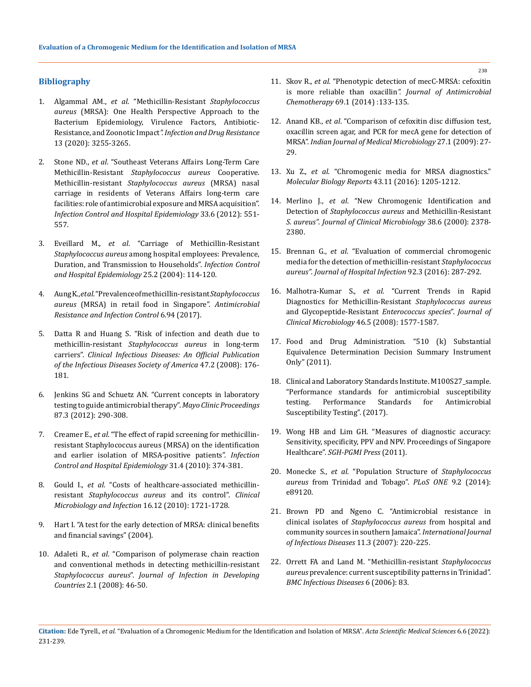## **Bibliography**

- 1. Algammal AM., *et al*[. "Methicillin-Resistant](https://www.ncbi.nlm.nih.gov/pmc/articles/PMC7519829/) *Staphylococcus aureus* [\(MRSA\): One Health Perspective Approach to the](https://www.ncbi.nlm.nih.gov/pmc/articles/PMC7519829/)  [Bacterium Epidemiology, Virulence Factors, Antibiotic-](https://www.ncbi.nlm.nih.gov/pmc/articles/PMC7519829/)Resistance, and Zoonotic Impact*[". Infection and Drug Resistance](https://www.ncbi.nlm.nih.gov/pmc/articles/PMC7519829/)* [13 \(2020\): 3255-3265.](https://www.ncbi.nlm.nih.gov/pmc/articles/PMC7519829/)
- 2. Stone ND., *et al*[. "Southeast Veterans Affairs Long-Term Care](https://pubmed.ncbi.nlm.nih.gov/22561709/)  Methicillin-Resistant *[Staphylococcus aureus](https://pubmed.ncbi.nlm.nih.gov/22561709/)* Cooperative. Methicillin-resistant *[Staphylococcus aureus](https://pubmed.ncbi.nlm.nih.gov/22561709/)* (MRSA) nasal [carriage in residents of Veterans Affairs long-term care](https://pubmed.ncbi.nlm.nih.gov/22561709/)  [facilities: role of antimicrobial exposure and MRSA acquisition".](https://pubmed.ncbi.nlm.nih.gov/22561709/)  *[Infection Control and Hospital Epidemiology](https://pubmed.ncbi.nlm.nih.gov/22561709/)* 33.6 (2012): 551- [557.](https://pubmed.ncbi.nlm.nih.gov/22561709/)
- 3. Eveillard M., *et al*[. "Carriage of Methicillin-Resistant](https://pubmed.ncbi.nlm.nih.gov/14994935/)  *Staphylococcus aureus* [among hospital employees: Prevalence,](https://pubmed.ncbi.nlm.nih.gov/14994935/)  [Duration, and Transmission to Households".](https://pubmed.ncbi.nlm.nih.gov/14994935/) *Infection Control [and Hospital Epidemiology](https://pubmed.ncbi.nlm.nih.gov/14994935/)* 25.2 (2004): 114-120.
- 4. Aung K., *et al*[. "Prevalence of methicillin-resistant](https://doi.org/10.1186/s13756-017-0255-3) *Staphylococcus aureus* [\(MRSA\) in retail food in Singapore".](https://doi.org/10.1186/s13756-017-0255-3) *Antimicrobial [Resistance and Infection Control](https://doi.org/10.1186/s13756-017-0255-3)* 6.94 (2017).
- 5. [Datta R and Huang S. "Risk of infection and death due to](https://doi.org/10.1086/589241)  methicillin-resistant *[Staphylococcus aureus](https://doi.org/10.1086/589241)* in long-term carriers". *[Clinical Infectious Diseases: An Official Publication](https://doi.org/10.1086/589241)  [of the Infectious Diseases Society of America](https://doi.org/10.1086/589241)* 47.2 (2008): 176- [181.](https://doi.org/10.1086/589241)
- 6. [Jenkins SG and Schuetz AN. "Current concepts in laboratory](https://doi.org/10.1016/j.mayocp.2012.01.007)  [testing to guide antimicrobial therapy".](https://doi.org/10.1016/j.mayocp.2012.01.007) *Mayo Clinic Proceedings* [87.3 \(2012\): 290-308.](https://doi.org/10.1016/j.mayocp.2012.01.007)
- 7. Creamer E., *et al*[. "The effect of rapid screening for methicillin](https://doi.org/10.1086/651093)[resistant Staphylococcus aureus \(MRSA\) on the identification](https://doi.org/10.1086/651093)  [and earlier isolation of MRSA-positive patients".](https://doi.org/10.1086/651093) *Infection [Control and Hospital Epidemiology](https://doi.org/10.1086/651093)* 31.4 (2010): 374-381.
- 8. Gould I., *et al*[. "Costs of healthcare-associated methicillin](https://www.sciencedirect.com/science/article/pii/S1198743X14605735)resistant *[Staphylococcus aureus](https://www.sciencedirect.com/science/article/pii/S1198743X14605735)* and its control". *Clinical [Microbiology and Infection](https://www.sciencedirect.com/science/article/pii/S1198743X14605735)* 16.12 (2010): 1721-1728.
- 9. [Hart I. "A test for the early detection of MRSA: clinical benefits](https://www.yumpu.com/en/document/read/36513262/a-test-for-the-early-detection-of-mrsa-clinical-benefits-and-financial-)  [and financial savings" \(2004\).](https://www.yumpu.com/en/document/read/36513262/a-test-for-the-early-detection-of-mrsa-clinical-benefits-and-financial-)
- 10. Adaleti R., *et al*[. "Comparison of polymerase chain reaction](https://jidc.org/index.php/journal/article/view/19736387)  [and conventional methods in detecting methicillin-resistant](https://jidc.org/index.php/journal/article/view/19736387)  *Staphylococcus aureus*". *[Journal of Infection in Developing](https://jidc.org/index.php/journal/article/view/19736387)  Countries* [2.1 \(2008\): 46-50.](https://jidc.org/index.php/journal/article/view/19736387)
- 11. Skov R., *et al*[. "Phenotypic detection of mecC-MRSA: cefoxitin](https://academic.oup.com/jac/article/69/1/133/856682)  is more reliable than oxacillin*[". Journal of Antimicrobial](https://academic.oup.com/jac/article/69/1/133/856682)  Chemotherapy* [69.1 \(2014\) :133-135.](https://academic.oup.com/jac/article/69/1/133/856682)
- 12. Anand KB., *et al*[. "Comparison of cefoxitin disc diffusion test,](https://www.sciencedirect.com/science/article/pii/S0255085721017485)  [oxacillin screen agar, and PCR for mecA gene for detection of](https://www.sciencedirect.com/science/article/pii/S0255085721017485)  MRSA". *[Indian Journal of Medical Microbiology](https://www.sciencedirect.com/science/article/pii/S0255085721017485)* 27.1 (2009): 27- [29.](https://www.sciencedirect.com/science/article/pii/S0255085721017485)
- 13. Xu Z., *et al*[. "Chromogenic media for MRSA diagnostics."](https://doi.org/10.1007/s11033-016-4062-3)  *[Molecular Biology Reports](https://doi.org/10.1007/s11033-016-4062-3)* 43.11 (2016): 1205-1212.
- 14. Merlino J., *et al*[. "New Chromogenic Identification and](https://www.ncbi.nlm.nih.gov/pmc/articles/PMC86810/)  Detection of *[Staphylococcus aureus](https://www.ncbi.nlm.nih.gov/pmc/articles/PMC86810/)* and Methicillin-Resistant *S. aureus"*. *[Journal of Clinical](https://www.ncbi.nlm.nih.gov/pmc/articles/PMC86810/) Microbiology* 38.6 (2000): 2378- [2380.](https://www.ncbi.nlm.nih.gov/pmc/articles/PMC86810/)
- 15. Brennan G., *et al*[. "Evaluation of commercial chromogenic](https://doi.org/10.1016/j.jhin.2015.10.019)  [media for the detection of methicillin-resistant](https://doi.org/10.1016/j.jhin.2015.10.019) *Staphylococcus aureus"*. *[Journal of Hospital Infection](https://doi.org/10.1016/j.jhin.2015.10.019)* 92.3 (2016): 287-292.
- 16. Malhotra-Kumar S., *et al*[. "Current Trends in Rapid](http://doi.org/10.1128/JCM.00326-08)  [Diagnostics for Methicillin-Resistant](http://doi.org/10.1128/JCM.00326-08) *Staphylococcus aureus* [and Glycopeptide-Resistant](http://doi.org/10.1128/JCM.00326-08) *Enterococcus species*". *Journal of [Clinical Microbiology](http://doi.org/10.1128/JCM.00326-08)* 46.5 (2008): 1577-1587.
- 17. [Food and Drug Administration. "510 \(k\) Substantial](https://www.accessdata.fda.gov/cdrh_docs/reviews/K102922.pdf)  [Equivalence Determination Decision Summary Instrument](https://www.accessdata.fda.gov/cdrh_docs/reviews/K102922.pdf)  [Only" \(2011\).](https://www.accessdata.fda.gov/cdrh_docs/reviews/K102922.pdf)
- 18. [Clinical and Laboratory Standards Institute. M100S27\\_sample.](https://clsi.org/media/1469/m100s27_sample.pdf)  ["Performance standards for antimicrobial susceptibility](https://clsi.org/media/1469/m100s27_sample.pdf)  [testing. Performance Standards for Antimicrobial](https://clsi.org/media/1469/m100s27_sample.pdf)  [Susceptibility Testing". \(2017\).](https://clsi.org/media/1469/m100s27_sample.pdf)
- 19. [Wong HB and Lim GH. "Measures of diagnostic accuracy:](https://doi.org/10.1177/201010581102000411)  [Sensitivity, specificity, PPV and NPV. Proceedings of Singapore](https://doi.org/10.1177/201010581102000411)  Healthcare". *[SGH-PGMI Press](https://doi.org/10.1177/201010581102000411)* (2011).
- 20. Monecke S., *et al*[. "Population Structure of](https://doi.org/10.1371/journal.pone.0089120) *Staphylococcus aureus* [from Trinidad and Tobago".](https://doi.org/10.1371/journal.pone.0089120) *PLoS ONE* 9.2 (2014): [e89120.](https://doi.org/10.1371/journal.pone.0089120)
- 21. [Brown PD and Ngeno C. "Antimicrobial resistance in](https://pubmed.ncbi.nlm.nih.gov/16815064/)  clinical isolates of *[Staphylococcus aureus](https://pubmed.ncbi.nlm.nih.gov/16815064/)* from hospital and [community sources in southern Jamaica".](https://pubmed.ncbi.nlm.nih.gov/16815064/) *International Journal [of Infectious Diseases](https://pubmed.ncbi.nlm.nih.gov/16815064/)* 11.3 (2007): 220-225.
- 22. [Orrett FA and Land M. "Methicillin-resistant](https://bmcinfectdis.biomedcentral.com/articles/10.1186/1471-2334-6-83) *Staphylococcus aureus* [prevalence: current susceptibility patterns in Trinidad".](https://bmcinfectdis.biomedcentral.com/articles/10.1186/1471-2334-6-83)  *[BMC Infectious Diseases](https://bmcinfectdis.biomedcentral.com/articles/10.1186/1471-2334-6-83)* 6 (2006): 83.
- **Citation:** Ede Tyrell*., et al.* "Evaluation of a Chromogenic Medium for the Identification and Isolation of MRSA". *Acta Scientific Medical Sciences* 6.6 (2022): 231-239.